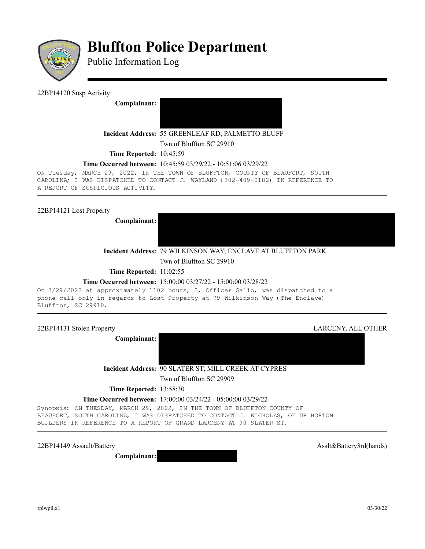

# **Bluffton Police Department**

Public Information Log

## 22BP14120 Susp Activity

**Complainant:** 



#### **Incident Address:** 55 GREENLEAF RD; PALMETTO BLUFF

Twn of Bluffton SC 29910

**Time Reported:** 10:45:59

## **Time Occurred between:** 10:45:59 03/29/22 - 10:51:06 03/29/22

ON Tuesday, MARCH 29, 2022, IN THE TOWN OF BLUFFTON, COUNTY OF BEAUFORT, SOUTH CAROLINA; I WAS DISPATCHED TO CONTACT J. WAYLAND (302-409-2182) IN REFERENCE TO A REPORT OF SUSPICIOUS ACTIVITY.

## 22BP14121 Lost Property

**Complainant:** 



## **Incident Address:** 79 WILKINSON WAY; ENCLAVE AT BLUFFTON PARK

Twn of Bluffton SC 29910

**Time Reported:** 11:02:55

## **Time Occurred between:** 15:00:00 03/27/22 - 15:00:00 03/28/22

On 3/29/2022 at approximately 1102 hours, I, Officer Gallo, was dispatched to a phone call only in regards to Lost Property at 79 Wilkinson Way (The Enclave) Bluffton, SC 29910.

**Complainant:** 

22BP14131 Stolen Property LARCENY, ALL OTHER

**Incident Address:** 90 SLATER ST; MILL CREEK AT CYPRES

Twn of Bluffton SC 29909

**Time Reported:** 13:58:30

#### **Time Occurred between:** 17:00:00 03/24/22 - 05:00:00 03/29/22

Synopsis: ON TUESDAY, MARCH 29, 2022, IN THE TOWN OF BLUFFTON COUNTY OF BEAUFORT, SOUTH CAROLINA, I WAS DISPATCHED TO CONTACT J. NICHOLAS, OF DR HORTON BUILDERS IN REFERENCE TO A REPORT OF GRAND LARCENY AT 90 SLATER ST.

22BP14149 Assault/Battery and the state of the state of the state of the state of the state of the state of the state of the state of the state of the state of the state of the state of the state of the state of the state

**Complainant:**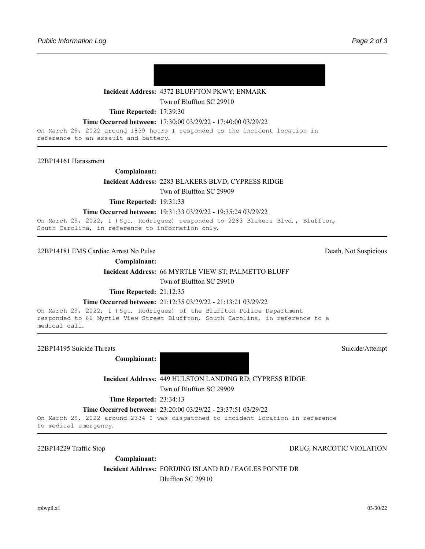

## **Incident Address:** 4372 BLUFFTON PKWY; ENMARK

Twn of Bluffton SC 29910

**Time Reported:** 17:39:30

#### **Time Occurred between:** 17:30:00 03/29/22 - 17:40:00 03/29/22

On March 29, 2022 around 1839 hours I responded to the incident location in reference to an assault and battery.

#### 22BP14161 Harassment

#### **Complainant:**

**Incident Address:** 2283 BLAKERS BLVD; CYPRESS RIDGE

Twn of Bluffton SC 29909

**Time Reported:** 19:31:33

#### **Time Occurred between:** 19:31:33 03/29/22 - 19:35:24 03/29/22

On March 29, 2022, I (Sgt. Rodriguez) responded to 2283 Blakers Blvd., Bluffton, South Carolina, in reference to information only.

22BP14181 EMS Cardiac Arrest No Pulse Death, Not Suspicious

**Complainant:** 

**Incident Address:** 66 MYRTLE VIEW ST; PALMETTO BLUFF

Twn of Bluffton SC 29910

**Time Reported:** 21:12:35

#### **Time Occurred between:** 21:12:35 03/29/22 - 21:13:21 03/29/22

On March 29, 2022, I (Sgt. Rodriguez) of the Bluffton Police Department responded to 66 Myrtle View Street Bluffton, South Carolina, in reference to a medical call.

22BP14195 Suicide Threats Suicide/Attempt

**Complainant:** 

**Incident Address:** 449 HULSTON LANDING RD; CYPRESS RIDGE

Twn of Bluffton SC 29909

**Time Reported: 23:34:13** 

**Time Occurred between:** 23:20:00 03/29/22 - 23:37:51 03/29/22

On March 29, 2022 around 2334 I was dispatched to incident location in reference to medical emergency.

# 22BP14229 Traffic Stop DRUG, NARCOTIC VIOLATION

**Complainant:** 

**Incident Address:** FORDING ISLAND RD / EAGLES POINTE DR Bluffton SC 29910